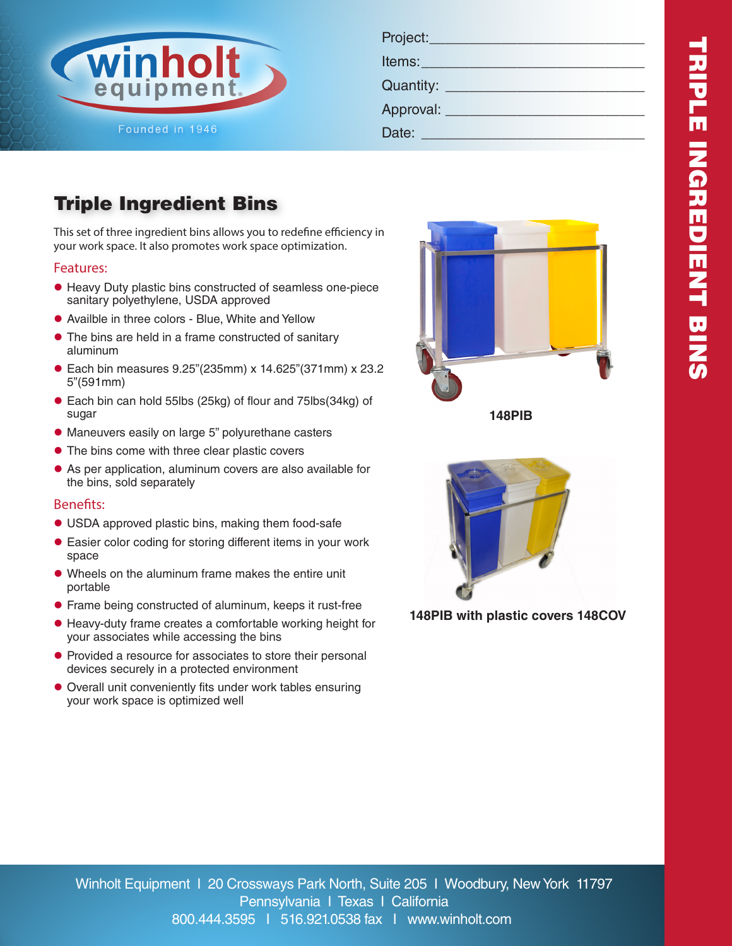

| Project:___________________    |  |
|--------------------------------|--|
|                                |  |
| Quantity: ________             |  |
| Approval: <u>_____________</u> |  |
| Date: <u>Date:</u>             |  |
|                                |  |

## Triple Ingredient Bins

This set of three ingredient bins allows you to redefine efficiency in your work space. It also promotes work space optimization.

## Features:

- Heavy Duty plastic bins constructed of seamless one-piece sanitary polyethylene, USDA approved
- Availble in three colors Blue, White and Yellow
- The bins are held in a frame constructed of sanitary aluminum
- l Each bin measures 9.25"(235mm) x 14.625"(371mm) x 23.2 5"(591mm)
- Each bin can hold 55lbs (25kg) of flour and 75lbs(34kg) of sugar
- $\bullet$  Maneuvers easily on large 5" polyurethane casters
- The bins come with three clear plastic covers
- As per application, aluminum covers are also available for the bins, sold separately

## Benefits:

- USDA approved plastic bins, making them food-safe
- Easier color coding for storing different items in your work space
- $\bullet$  Wheels on the aluminum frame makes the entire unit portable
- **•** Frame being constructed of aluminum, keeps it rust-free
- Heavy-duty frame creates a comfortable working height for your associates while accessing the bins
- Provided a resource for associates to store their personal devices securely in a protected environment
- Overall unit conveniently fits under work tables ensuring your work space is optimized well



**148PIB**



**148PIB with plastic covers 148COV**